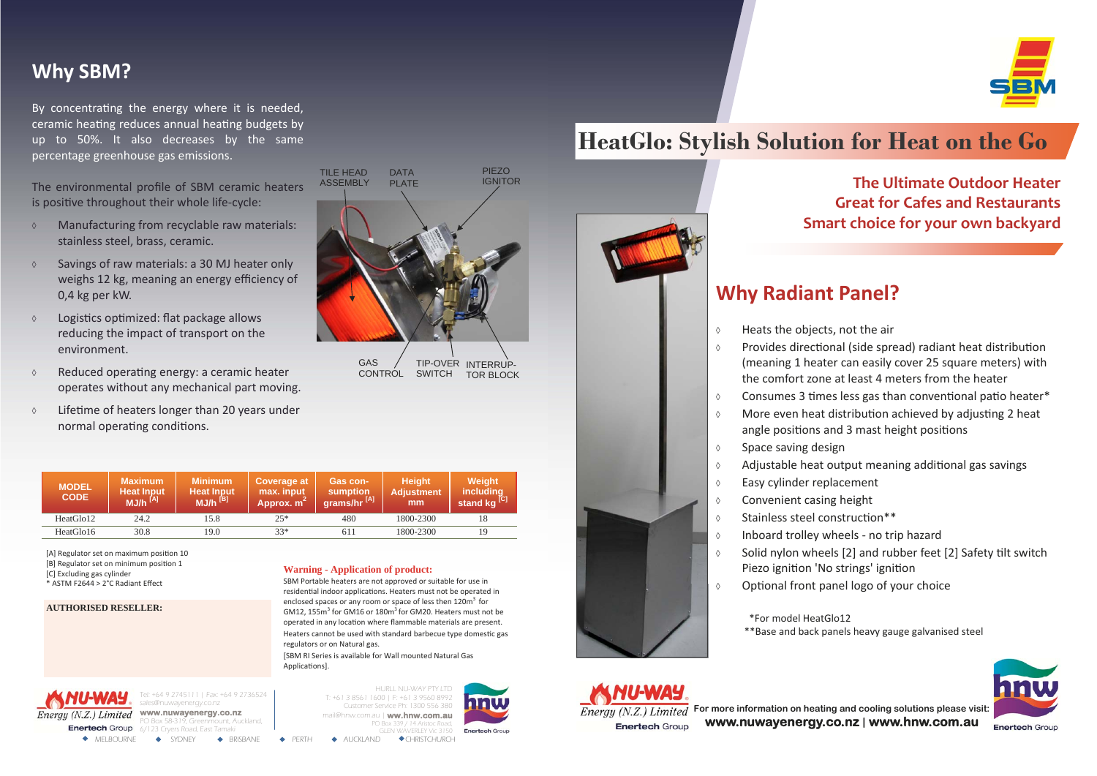Tel: +64 9 2745111 | Fax: +64 9 2736524 sales@nuwayenergy.co.nz **www.nuwayenergy.co.nz**  Pox 58-319, Greenmount, Auckland,

MELBOURNE ◆ SYDNEY ◆ BRISBANE ◆ PERTH ◆ AUCKLAND ◆ CHRISTCHURCH 6/123 Cryers Road, East Tamaki

HURLL NU-WAY PTY LTD T: +61 3 8561 1600 | F: +61 3 9560 8992 Customer Service Ph: 1300 556 380 mail@hnw.com.au | **ww.hnw.com.au**  PO Box 339 / 14 Aristoc Road, GLEN WAVERLEY Vic 3150



**For more information on heating and cooling solutions please visit: www.nuwayenergy.co.nz | www.hnw.com.au**

**The Ultimate Outdoor Heater Great for Cafes and Restaurants Smart choice for your own backyard**

## **Why Radiant Panel?**

- $\diamond$  Heats the objects, not the air
- 
- 
- 
- ◊ Space saving design
- 
- ◊ Easy cylinder replacement
- ◊ Convenient casing height
- $\lozenge$  Stainless steel construction\*\*
- 
- Piezo ignition 'No strings' ignition
- 

 $\lozenge$  Provides directional (side spread) radiant heat distribution (meaning 1 heater can easily cover 25 square meters) with the comfort zone at least 4 meters from the heater  $\diamond$  Consumes 3 times less gas than conventional patio heater\*  $\lozenge$  More even heat distribution achieved by adjusting 2 heat angle positions and 3 mast height positions ◊ Adjustable heat output meaning addiƟonal gas savings ◊ Inboard trolley wheels ‐ no trip hazard  $\diamond$  Solid nylon wheels [2] and rubber feet [2] Safety tilt switch ◊ OpƟonal front panel logo of your choice



**Enertech Group** 

By concentrating the energy where it is needed, ceramic heating reduces annual heating budgets by up to 50%. It also decreases by the same percentage greenhouse gas emissions.

- ◊ Manufacturing from recyclable raw materials: stainless steel, brass, ceramic.
- ◊ Savings of raw materials: <sup>a</sup> 30 MJ heater only weighs 12 kg, meaning an energy <sup>e</sup>fficiency of 0,4 kg per kW.
- ◊ LogisƟcs opƟmized: flat package allows reducing the impact of transport on the environment.
- $\Diamond$  Reduced operating energy: a ceramic heater operates without any mechanical part moving.
- $\diamond$  Lifetime of heaters longer than 20 years under normal operating conditions.

\*For model HeatGlo12\*\*Base and back panels heavy gauge galvanised steel



# **HeatGlo: Stylish Solution for Heat on the Go**





[SBM RI Series is available for Wall mounted Natural Gas Applications].

**CONTROL** 

## **Why SBM?**



The environmental profile of SBM ceramic heaters is posiƟve throughout their whole life‐cycle:

| <b>MODEL</b><br><b>CODE</b> | /Maximum<br><b>Heat Input</b><br>$MJ/h$ <sup>[A]</sup> | <b>Minimum</b><br><b>Heat Input</b><br>$MJ/h$ <sup>[B]</sup> | Coverage at<br>max. input<br>Approx. m <sup>-</sup> | <b>Gas con-</b><br>sumption<br>grams/hr <sup>[A]</sup> | <b>Height</b><br><b>Adjustment</b><br>mm | <b>Weight</b><br><i>including</i><br>stand kg <sup>[C]</sup> |
|-----------------------------|--------------------------------------------------------|--------------------------------------------------------------|-----------------------------------------------------|--------------------------------------------------------|------------------------------------------|--------------------------------------------------------------|
| HeatGlo12                   | 24.2                                                   | 15.8                                                         | $25*$                                               | 480                                                    | 1800-2300                                |                                                              |
| HeatGlo16                   | 30.8                                                   | 19.0                                                         | $33*$                                               | 611                                                    | 1800-2300                                | 19                                                           |

[A] Regulator set on maximum position 10 [B] Regulator set on minimum position 1

#### **Warning - Application of product:**

SBM Portable heaters are not approved or suitable for use in residential indoor applications. Heaters must not be operated in enclosed spaces or any room or space of less then 120 $m^3$  for GM12, 155 $m<sup>3</sup>$  for GM16 or 180 $m<sup>3</sup>$  for GM20. Heaters must not be operated in any location where flammable materials are present. Heaters cannot be used with standard barbecue type domestic gas regulators or on Natural gas.

[C] Excluding gas cylinder

\* ASTM F2644 <sup>&</sup>gt; 2°C Radiant Effect

**AUTHORISED RESELLER:** 



SWITCH TOR BLOCK